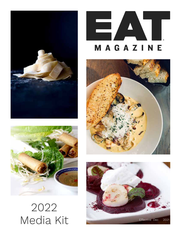



# 2022

## MAGAZINE



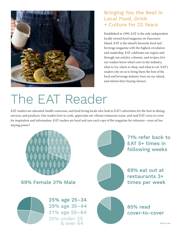

#### Bringing You the Best in Local Food, Drink + Culture for 22 Years

Established in 1999, EAT is the only independent locally owned food magazine on Vancouver Island. EAT is the island's favourite food and beverage magazine with the highest circulation and readership. EAT celebrates our region and through our articles, columns, and recipes, let's our readers know what's new in the industry, what to try, where to shop, and what to eat. EAT's readers rely on us to bring them the best of the food and beverage industry here on our island, and inform their buying choices.

### The EAT Reader

EAT readers are educated, health conscious, and food loving locals who look to EAT's advertisers for the best in dining, services, and products. Our readers love to cook, appreciate our vibrant restaurant scene, and read EAT cover to cover for inspiration and information. EAT readers are loyal and save each copy of the magazine for reference—your ad has staying power!

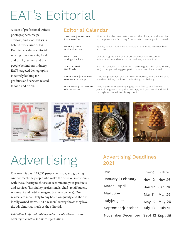### EAT's Editorial

A team of professional writers, photographers, recipe creators, and food stylists is behind every issue of EAT. Each issue features editorial relating to restaurants, food and drink, recipes, and the people behind our industry. EAT's targeted demographic is actively looking for products and services related to food and drink.

#### Editorial Calendar

JANUARY | FEBRUARY It's a New Year MARCH | APRIL Global Flavours MAY | JUNE Spring Check-in JULY | AUGUST Get Fresh SEPTEMBER | OCTOBER Harvest Round-up Whether it's the new restaurant on the block, an old standby, or the pleasure of cooking from scratch, we've got it covered. Spices, flavourful dishes, and tasting the world cuisines here at home. Celebrating the diversity of our province and restaurant industry. From ciders to farm markets, we love it all. It's the season to celebrate warm nights and cool drinks, BBQs, just picked veggies, patio dinners, and local travel. Time for preserves, can the fresh tomatoes, and thinking cool weather dishes; the latest on braising and baking.

> Keep warm on these long nights with family and friends, joy and laughter during the holidays, and good food and drink throughout the winter. Bring it on!





NOVEMBER | DECEMBER Winter Warmth





### Advertising

Our reach is over 123,055 people per issue, and growing. And we reach the people who make the decisions—the ones with the authority to choose or recommend your products and services (hospitality professionals, chefs, retail buyers, restaurant and hotel managers, business owners). Our readers are more likely to buy based on quality and shop at locally owned stores. EAT's readers' survey shows they love the ads almost as much as the editorial.

*EAT offers half- and full-page advertorials. Please ask your sales representative for more information.*

### Advertising Deadlines 2021

| Issue                             | Booking | Material      |
|-----------------------------------|---------|---------------|
| January   February                |         | Nov 12 Nov 26 |
| March   April                     |         | Jan 12 Jan 26 |
| May June                          | Mar 11  | Mar 25        |
| July August                       |         | May 12 May 26 |
| September October                 | July 13 | July 25       |
| November December Sept 12 Sept 25 |         |               |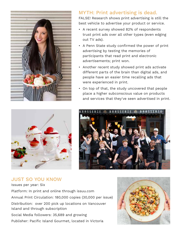

#### MYTH: Print advertising is dead.

FALSE! Research shows print advertising is still the best vehicle to advertise your product or service.

- A recent survey showed 82% of respondents trust print ads over all other types (even edging out TV ads).
- A Penn State study confirmed the power of print advertising by testing the memories of participants that read print and electronic advertisements; print won.
- Another recent study showed print ads activate different parts of the brain than digital ads, and people have an easier time recalling ads that were experienced in print.
- On top of that, the study uncovered that people place a higher subconscious value on products and services that they've seen advertised in print.





### JUST SO YOU KNOW

Issues per year: Six Platform: In print and online through issuu.com Annual Print Circulation: 180,000 copies (30,000 per issue) Distribution: over 200 pick up locations on Vancouver Island and through subscription Social Media followers: 35,689 and growing Publisher: Pacific Island Gourmet, located in Victoria

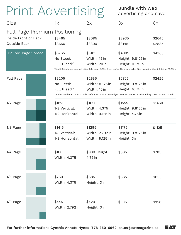### Print Advertising Bundle with web

### advertising and save!

| Size                                                                    | 1x                                         | 2x                                           | 3x                                                                                                                                                                      | 6x               |
|-------------------------------------------------------------------------|--------------------------------------------|----------------------------------------------|-------------------------------------------------------------------------------------------------------------------------------------------------------------------------|------------------|
| Full Page Premium Positioning<br>Inside Front or Back:<br>Outside Back: | \$3465<br>\$3650                           | \$3095<br>\$3300                             | \$2935<br>\$3145                                                                                                                                                        | \$2645<br>\$2835 |
| Double-Page Spread                                                      | \$5765<br>No Bleed:<br>Full Bleed:*        | \$5185<br>Width: 19 in<br>Width: 20 in       | \$4905<br>Height: 9.8125 in<br>Height: 10.75 in<br>*Add 0.25in bleed on each side. Safe area: 0.25in from edges. No crop marks. Size including bleed: 20.5in x 11.25in. | \$4365           |
| Full Page                                                               | \$3205<br>No Bleed:<br>Full Bleed:*        | \$2885<br>Width: 9.125 in<br>Width: 10 in    | \$2725<br>Height: 9.8125 in<br>Height: 10.75 in<br>*Add 0.25in bleed on each side. Safe area: 0.25in from edges. No crop marks. Size including bleed: 10.5in x 11.25in. | \$2425           |
| $1/2$ Page                                                              | \$1825<br>1/2 Vertical:<br>1/2 Horizontal: | \$1650<br>Width: 4.375 in<br>Width: 9.125 in | \$1555<br>Height: 9.8125 in<br>Height: 4.75 in                                                                                                                          | \$1460           |
| $1/3$ Page                                                              | \$1415<br>1/3 Vertical:<br>1/3 Horizontal: | \$1295<br>Width: 2.792 in<br>Width: 9.125 in | \$1175<br>Height: 9.8125 in<br>Height: 3 in                                                                                                                             | \$1125           |
| $1/4$ Page                                                              | \$1005<br>Width: 4.375 in                  | \$930 Height:<br>4.75 in                     | \$885                                                                                                                                                                   | \$785            |
| 1/6 Page                                                                | \$760<br>Width: 4.375 in                   | \$685<br>Height: 3 in                        | \$665                                                                                                                                                                   | \$635            |
| $1/9$ Page                                                              | \$445<br>Width: 2.792 in                   | \$420<br>Height: 3 in                        | \$395                                                                                                                                                                   | \$350            |

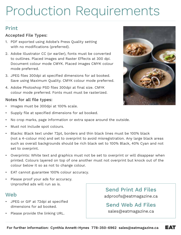### Production Requirements

#### Print

#### Accepted File Types:

- 1. PDF exported using Adobe's Press Quality setting with no modifications (preferred).
- 2. Adobe Illustrator CC (or earlier), fonts must be converted to outlines. Placed images and Raster Effects at 300 dpi. Document colour mode CMYK. Placed images CMYK colour mode preferred.
- 3. JPEG files 300dpi at specified dimensions for ad booked. Save using Maximum Quality. CMYK colour mode preferred.
- 4. Adobe Photoshop PSD files 300dpi at final size. CMYK colour mode preferred. Fonts must must be rasterized.

#### Notes for all file types:

- Images must be 300dpi at 100% scale.
- Supply file at specified dimensions for ad booked.
- No crop marks, page information or extra space around the outside.
- Must not include spot colours.
- Blacks: Black text under 72pt, borders and thin black lines must be 100% black (not a 4-colour mix) and set to overprint to avoid misregistration. Any large black areas such as overall backgrounds should be rich black set to 100% Black, 40% Cyan and not set to overprint.
- Overprints: White text and graphics must not be set to overprint or will disappear when printed. Colours layered on top of one another must not overprint but knock out of the colour below it so as not to change colour.
- EAT cannot guarantee 100% colour accuracy.
- Please proof your ads for accuracy. Unproofed ads will run as is.

#### Web

- JPEG or GIF at 72dpi at specified dimensions for ad booked.
- Please provide the linking URL.

Send Print Ad Files adproofs@eatmagazine.ca

Send Web Ad Files sales@eatmagazine.ca